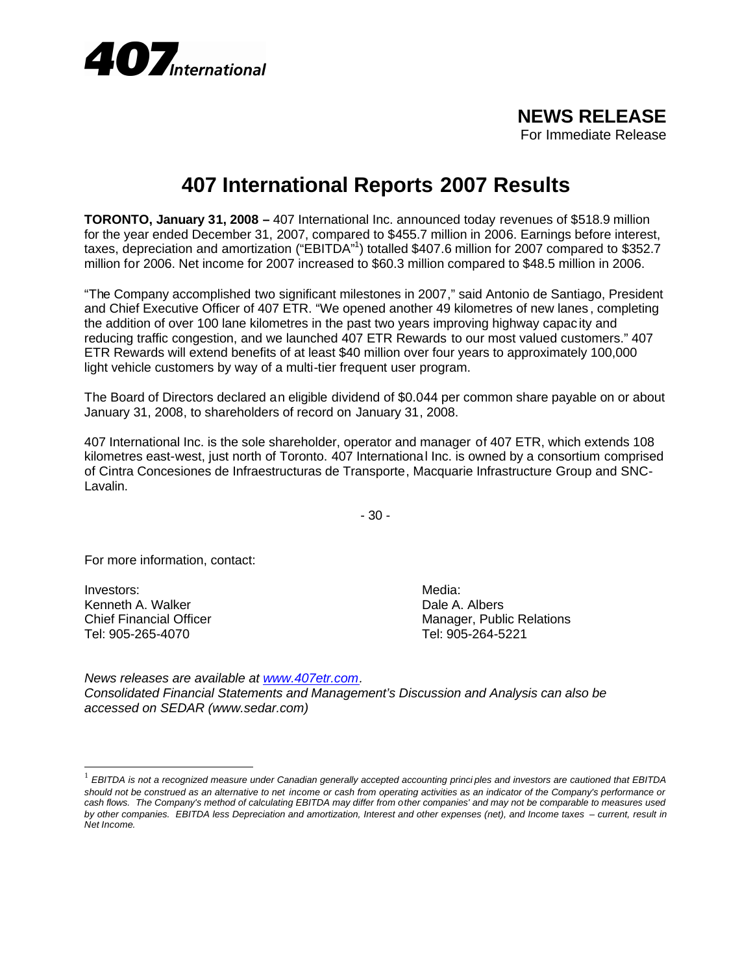

## **407 International Reports 2007 Results**

**TORONTO, January 31, 2008 –** 407 International Inc. announced today revenues of \$518.9 million for the year ended December 31, 2007, compared to \$455.7 million in 2006. Earnings before interest, taxes, depreciation and amortization ("EBITDA"1) totalled \$407.6 million for 2007 compared to \$352.7 million for 2006. Net income for 2007 increased to \$60.3 million compared to \$48.5 million in 2006.

"The Company accomplished two significant milestones in 2007," said Antonio de Santiago, President and Chief Executive Officer of 407 ETR. "We opened another 49 kilometres of new lanes , completing the addition of over 100 lane kilometres in the past two years improving highway capac ity and reducing traffic congestion, and we launched 407 ETR Rewards to our most valued customers." 407 ETR Rewards will extend benefits of at least \$40 million over four years to approximately 100,000 light vehicle customers by way of a multi-tier frequent user program.

The Board of Directors declared an eligible dividend of \$0.044 per common share payable on or about January 31, 2008, to shareholders of record on January 31, 2008.

407 International Inc. is the sole shareholder, operator and manager of 407 ETR, which extends 108 kilometres east-west, just north of Toronto. 407 International Inc. is owned by a consortium comprised of Cintra Concesiones de Infraestructuras de Transporte, Macquarie Infrastructure Group and SNC-Lavalin.

- 30 -

For more information, contact:

Investors: Media: New York 2012 19:00 Media: Media: Media: New York 2013 Kenneth A. Walker **Dale A. Albers** Tel: 905-265-4070 Tel: 905-264-5221

l

Chief Financial Officer Manager, Public Relations

*News releases are available at www.407etr.com. Consolidated Financial Statements and Management's Discussion and Analysis can also be accessed on SEDAR (www.sedar.com)*

<sup>&</sup>lt;sup>1</sup> EBITDA is not a recognized measure under Canadian generally accepted accounting princi ples and investors are cautioned that EBITDA *should not be construed as an alternative to net income or cash from operating activities as an indicator of the Company's performance or cash flows. The Company's method of calculating EBITDA may differ from other companies' and may not be comparable to measures used by other companies. EBITDA less Depreciation and amortization, Interest and other expenses (net), and Income taxes – current, result in Net Income.*